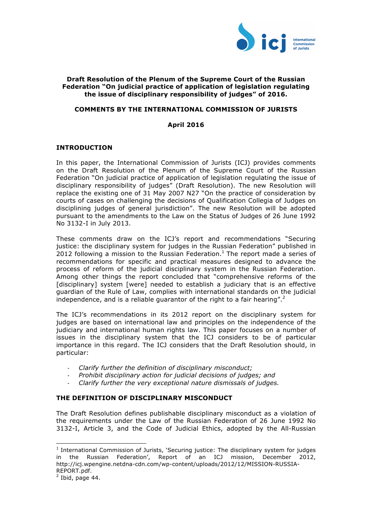

## **Draft Resolution of the Plenum of the Supreme Court of the Russian Federation "On judicial practice of application of legislation regulating the issue of disciplinary responsibility of judges" of 2016.**

## **COMMENTS BY THE INTERNATIONAL COMMISSION OF JURISTS**

#### **April 2016**

#### **INTRODUCTION**

In this paper, the International Commission of Jurists (ICJ) provides comments on the Draft Resolution of the Plenum of the Supreme Court of the Russian Federation "On judicial practice of application of legislation regulating the issue of disciplinary responsibility of judges" (Draft Resolution). The new Resolution will replace the existing one of 31 May 2007 N27 "On the practice of consideration by courts of cases on challenging the decisions of Qualification Collegia of Judges on disciplining judges of general jurisdiction". The new Resolution will be adopted pursuant to the amendments to the Law on the Status of Judges of 26 June 1992 No 3132-I in July 2013.

These comments draw on the ICJ's report and recommendations "Securing justice: the disciplinary system for judges in the Russian Federation" published in 2012 following a mission to the Russian Federation.<sup>1</sup> The report made a series of recommendations for specific and practical measures designed to advance the process of reform of the judicial disciplinary system in the Russian Federation. Among other things the report concluded that "comprehensive reforms of the [disciplinary] system [were] needed to establish a judiciary that is an effective guardian of the Rule of Law, complies with international standards on the judicial independence, and is a reliable guarantor of the right to a fair hearing".<sup>2</sup>

The ICJ's recommendations in its 2012 report on the disciplinary system for judges are based on international law and principles on the independence of the judiciary and international human rights law. This paper focuses on a number of issues in the disciplinary system that the ICJ considers to be of particular importance in this regard. The ICJ considers that the Draft Resolution should, in particular:

- *Clarify further the definition of disciplinary misconduct;*
- *Prohibit disciplinary action for judicial decisions of judges; and*
- *Clarify further the very exceptional nature dismissals of judges.*

## **THE DEFINITION OF DISCIPLINARY MISCONDUCT**

The Draft Resolution defines publishable disciplinary misconduct as a violation of the requirements under the Law of the Russian Federation of 26 June 1992 No 3132-I, Article 3, and the Code of Judicial Ethics, adopted by the All-Russian

 

<sup>&</sup>lt;sup>1</sup> International Commission of Jurists, 'Securing justice: The disciplinary system for judges in the Russian Federation', Report of an ICJ mission, December 2012, http://icj.wpengine.netdna-cdn.com/wp-content/uploads/2012/12/MISSION-RUSSIA-REPORT.pdf.

 $<sup>2</sup>$  Ibid, page 44.</sup>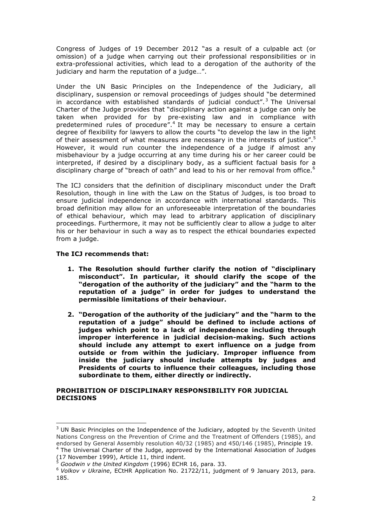Congress of Judges of 19 December 2012 "as a result of a culpable act (or omission) of a judge when carrying out their professional responsibilities or in extra-professional activities, which lead to a derogation of the authority of the judiciary and harm the reputation of a judge…".

Under the UN Basic Principles on the Independence of the Judiciary, all disciplinary, suspension or removal proceedings of judges should "be determined in accordance with established standards of judicial conduct". $3$  The Universal Charter of the Judge provides that "disciplinary action against a judge can only be taken when provided for by pre-existing law and in compliance with predetermined rules of procedure".<sup>4</sup> It may be necessary to ensure a certain degree of flexibility for lawyers to allow the courts "to develop the law in the light of their assessment of what measures are necessary in the interests of justice".<sup>5</sup> However, it would run counter the independence of a judge if almost any misbehaviour by a judge occurring at any time during his or her career could be interpreted, if desired by a disciplinary body, as a sufficient factual basis for a disciplinary charge of "breach of oath" and lead to his or her removal from office.<sup>6</sup>

The ICJ considers that the definition of disciplinary misconduct under the Draft Resolution, though in line with the Law on the Status of Judges, is too broad to ensure judicial independence in accordance with international standards. This broad definition may allow for an unforeseeable interpretation of the boundaries of ethical behaviour, which may lead to arbitrary application of disciplinary proceedings. Furthermore, it may not be sufficiently clear to allow a judge to alter his or her behaviour in such a way as to respect the ethical boundaries expected from a judge.

# **The ICJ recommends that:**

 

- **1. The Resolution should further clarify the notion of "disciplinary misconduct". In particular, it should clarify the scope of the "derogation of the authority of the judiciary" and the "harm to the reputation of a judge" in order for judges to understand the permissible limitations of their behaviour.**
- **2. "Derogation of the authority of the judiciary" and the "harm to the reputation of a judge" should be defined to include actions of judges which point to a lack of independence including through improper interference in judicial decision-making. Such actions should include any attempt to exert influence on a judge from outside or from within the judiciary. Improper influence from inside the judiciary should include attempts by judges and Presidents of courts to influence their colleagues, including those subordinate to them, either directly or indirectly.**

## **PROHIBITION OF DISCIPLINARY RESPONSIBILITY FOR JUDICIAL DECISIONS**

 $3$  UN Basic Principles on the Independence of the Judiciary, adopted by the Seventh United Nations Congress on the Prevention of Crime and the Treatment of Offenders (1985), and endorsed by General Assembly resolution 40/32 (1985) and 450/146 (1985), Principle 19.

<sup>&</sup>lt;sup>4</sup> The Universal Charter of the Judge, approved by the International Association of Judges (17 November 1999), Article 11, third indent.

<sup>5</sup> *Goodwin v the United Kingdom* (1996) ECHR 16, para. 33.

<sup>6</sup> *Volkov v Ukraine*, ECtHR Application No. 21722/11, judgment of 9 January 2013, para. 185.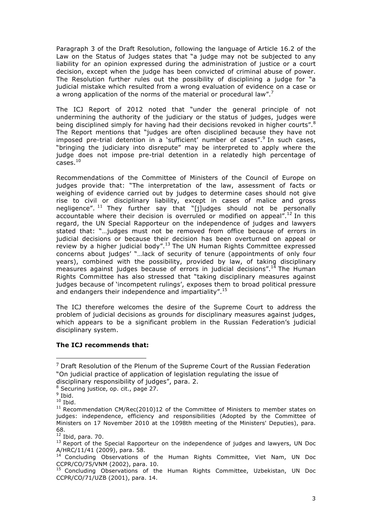Paragraph 3 of the Draft Resolution, following the language of Article 16.2 of the Law on the Status of Judges states that "a judge may not be subjected to any liability for an opinion expressed during the administration of justice or a court decision, except when the judge has been convicted of criminal abuse of power. The Resolution further rules out the possibility of disciplining a judge for "a judicial mistake which resulted from a wrong evaluation of evidence on a case or a wrong application of the norms of the material or procedural law".<sup>7</sup>

The ICJ Report of 2012 noted that "under the general principle of not undermining the authority of the judiciary or the status of judges, judges were being disciplined simply for having had their decisions revoked in higher courts".<sup>8</sup> The Report mentions that "judges are often disciplined because they have not imposed pre-trial detention in a `sufficient' number of cases".<sup>9</sup> In such cases, "bringing the judiciary into disrepute" may be interpreted to apply where the judge does not impose pre-trial detention in a relatedly high percentage of  $Case<sup>10</sup>$ 

Recommendations of the Committee of Ministers of the Council of Europe on judges provide that: "The interpretation of the law, assessment of facts or weighing of evidence carried out by judges to determine cases should not give rise to civil or disciplinary liability, except in cases of malice and gross negligence". <sup>11</sup> They further say that "[j]udges should not be personally accountable where their decision is overruled or modified on appeal".<sup>12</sup> In this regard, the UN Special Rapporteur on the independence of judges and lawyers stated that: "…judges must not be removed from office because of errors in judicial decisions or because their decision has been overturned on appeal or review by a higher judicial body".<sup>13</sup> The UN Human Rights Committee expressed concerns about judges' "…lack of security of tenure (appointments of only four years), combined with the possibility, provided by law, of taking disciplinary measures against judges because of errors in judicial decisions".<sup>14</sup> The Human Rights Committee has also stressed that "taking disciplinary measures against judges because of 'incompetent rulings', exposes them to broad political pressure and endangers their independence and impartiality".<sup>15</sup>

The ICJ therefore welcomes the desire of the Supreme Court to address the problem of judicial decisions as grounds for disciplinary measures against judges, which appears to be a significant problem in the Russian Federation's judicial disciplinary system.

## **The ICJ recommends that:**

 

<sup>7</sup> Draft Resolution of the Plenum of the Supreme Court of the Russian Federation "On judicial practice of application of legislation regulating the issue of

disciplinary responsibility of judges", para. 2.

<sup>8</sup> Securing justice, op. cit., page 27.

 $9$  Ibid.

 $10$  Ibid.

 $11$  Recommendation CM/Rec(2010)12 of the Committee of Ministers to member states on judges: independence, efficiency and responsibilities (Adopted by the Committee of Ministers on 17 November 2010 at the 1098th meeting of the Ministers' Deputies), para. 68.

 $12$  Ibid, para. 70.

<sup>&</sup>lt;sup>13</sup> Report of the Special Rapporteur on the independence of judges and lawyers, UN Doc

 $A/HRC/11/41$  (2009), para. 58.<br><sup>14</sup> Concluding Observations of the Human Rights Committee, Viet Nam, UN Doc CCPR/CO/75/VNM (2002), para. 10.<br><sup>15</sup> Concluding Observations of the Human Rights Committee, Uzbekistan, UN Doc

CCPR/CO/71/UZB (2001), para. 14.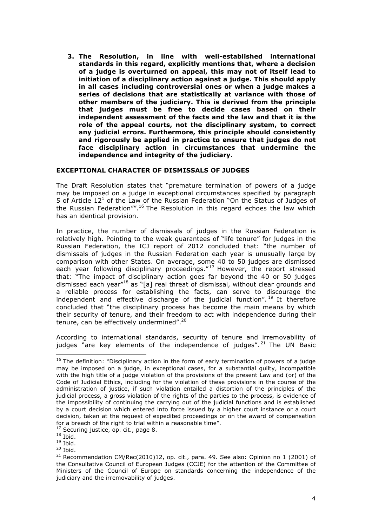**3. The Resolution, in line with well-established international standards in this regard, explicitly mentions that, where a decision of a judge is overturned on appeal, this may not of itself lead to initiation of a disciplinary action against a judge. This should apply in all cases including controversial ones or when a judge makes a series of decisions that are statistically at variance with those of other members of the judiciary. This is derived from the principle that judges must be free to decide cases based on their independent assessment of the facts and the law and that it is the role of the appeal courts, not the disciplinary system, to correct any judicial errors. Furthermore, this principle should consistently and rigorously be applied in practice to ensure that judges do not face disciplinary action in circumstances that undermine the independence and integrity of the judiciary.** 

## **EXCEPTIONAL CHARACTER OF DISMISSALS OF JUDGES**

The Draft Resolution states that "premature termination of powers of a judge may be imposed on a judge in exceptional circumstances specified by paragraph 5 of Article  $12<sup>1</sup>$  of the Law of the Russian Federation "On the Status of Judges of the Russian Federation"".<sup>16</sup> The Resolution in this regard echoes the law which has an identical provision.

In practice, the number of dismissals of judges in the Russian Federation is relatively high. Pointing to the weak guarantees of "life tenure" for judges in the Russian Federation, the ICJ report of 2012 concluded that: "the number of dismissals of judges in the Russian Federation each year is unusually large by comparison with other States. On average, some 40 to 50 judges are dismissed each year following disciplinary proceedings."<sup>17</sup> However, the report stressed that: "The impact of disciplinary action goes far beyond the 40 or 50 judges dismissed each year"18 as "[a] real threat of dismissal, without clear grounds and a reliable process for establishing the facts, can serve to discourage the independent and effective discharge of the judicial function". <sup>19</sup> It therefore concluded that "the disciplinary process has become the main means by which their security of tenure, and their freedom to act with independence during their tenure, can be effectively undermined".<sup>20</sup>

According to international standards, security of tenure and irremovability of judges "are key elements of the independence of judges".<sup>21</sup> The UN Basic

 

<sup>&</sup>lt;sup>16</sup> The definition: "Disciplinary action in the form of early termination of powers of a judge may be imposed on a judge, in exceptional cases, for a substantial guilty, incompatible with the high title of a judge violation of the provisions of the present Law and (or) of the Code of Judicial Ethics, including for the violation of these provisions in the course of the administration of justice, if such violation entailed a distortion of the principles of the judicial process, a gross violation of the rights of the parties to the process, is evidence of the impossibility of continuing the carrying out of the judicial functions and is established by a court decision which entered into force issued by a higher court instance or a court decision, taken at the request of expedited proceedings or on the award of compensation for a breach of the right to trial within a reasonable time".

<sup>&</sup>lt;sup>17</sup> Securing justice, op. cit., page 8.

 $18$  Ibid.

 $19$  Ibid.

 $20$  Ibid.

 $21$  Recommendation CM/Rec(2010)12, op. cit., para. 49. See also: Opinion no 1 (2001) of the Consultative Council of European Judges (CCJE) for the attention of the Committee of Ministers of the Council of Europe on standards concerning the independence of the judiciary and the irremovability of judges.